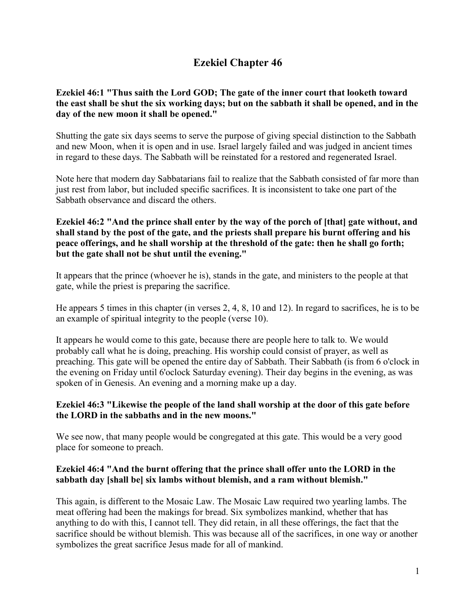# **Ezekiel Chapter 46**

## **Ezekiel 46:1 "Thus saith the Lord GOD; The gate of the inner court that looketh toward the east shall be shut the six working days; but on the sabbath it shall be opened, and in the day of the new moon it shall be opened."**

Shutting the gate six days seems to serve the purpose of giving special distinction to the Sabbath and new Moon, when it is open and in use. Israel largely failed and was judged in ancient times in regard to these days. The Sabbath will be reinstated for a restored and regenerated Israel.

Note here that modern day Sabbatarians fail to realize that the Sabbath consisted of far more than just rest from labor, but included specific sacrifices. It is inconsistent to take one part of the Sabbath observance and discard the others.

### **Ezekiel 46:2 "And the prince shall enter by the way of the porch of [that] gate without, and shall stand by the post of the gate, and the priests shall prepare his burnt offering and his peace offerings, and he shall worship at the threshold of the gate: then he shall go forth; but the gate shall not be shut until the evening."**

It appears that the prince (whoever he is), stands in the gate, and ministers to the people at that gate, while the priest is preparing the sacrifice.

He appears 5 times in this chapter (in verses 2, 4, 8, 10 and 12). In regard to sacrifices, he is to be an example of spiritual integrity to the people (verse 10).

It appears he would come to this gate, because there are people here to talk to. We would probably call what he is doing, preaching. His worship could consist of prayer, as well as preaching. This gate will be opened the entire day of Sabbath. Their Sabbath (is from 6 o'clock in the evening on Friday until 6'oclock Saturday evening). Their day begins in the evening, as was spoken of in Genesis. An evening and a morning make up a day.

## **Ezekiel 46:3 "Likewise the people of the land shall worship at the door of this gate before the LORD in the sabbaths and in the new moons."**

We see now, that many people would be congregated at this gate. This would be a very good place for someone to preach.

## **Ezekiel 46:4 "And the burnt offering that the prince shall offer unto the LORD in the sabbath day [shall be] six lambs without blemish, and a ram without blemish."**

This again, is different to the Mosaic Law. The Mosaic Law required two yearling lambs. The meat offering had been the makings for bread. Six symbolizes mankind, whether that has anything to do with this, I cannot tell. They did retain, in all these offerings, the fact that the sacrifice should be without blemish. This was because all of the sacrifices, in one way or another symbolizes the great sacrifice Jesus made for all of mankind.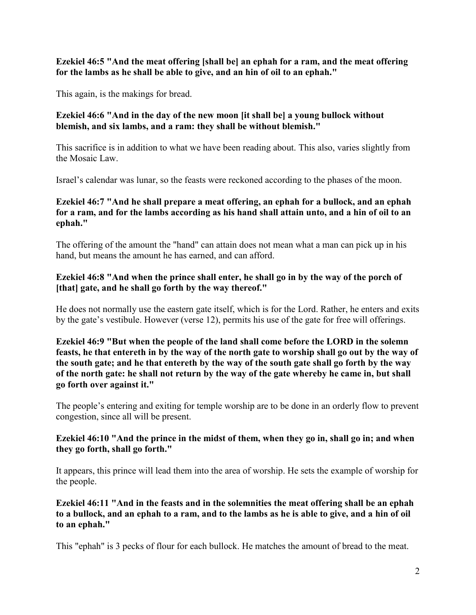**Ezekiel 46:5 "And the meat offering [shall be] an ephah for a ram, and the meat offering for the lambs as he shall be able to give, and an hin of oil to an ephah."**

This again, is the makings for bread.

## **Ezekiel 46:6 "And in the day of the new moon [it shall be] a young bullock without blemish, and six lambs, and a ram: they shall be without blemish."**

This sacrifice is in addition to what we have been reading about. This also, varies slightly from the Mosaic Law.

Israel's calendar was lunar, so the feasts were reckoned according to the phases of the moon.

## **Ezekiel 46:7 "And he shall prepare a meat offering, an ephah for a bullock, and an ephah for a ram, and for the lambs according as his hand shall attain unto, and a hin of oil to an ephah."**

The offering of the amount the "hand" can attain does not mean what a man can pick up in his hand, but means the amount he has earned, and can afford.

## **Ezekiel 46:8 "And when the prince shall enter, he shall go in by the way of the porch of [that] gate, and he shall go forth by the way thereof."**

He does not normally use the eastern gate itself, which is for the Lord. Rather, he enters and exits by the gate's vestibule. However (verse 12), permits his use of the gate for free will offerings.

**Ezekiel 46:9 "But when the people of the land shall come before the LORD in the solemn feasts, he that entereth in by the way of the north gate to worship shall go out by the way of the south gate; and he that entereth by the way of the south gate shall go forth by the way of the north gate: he shall not return by the way of the gate whereby he came in, but shall go forth over against it."**

The people's entering and exiting for temple worship are to be done in an orderly flow to prevent congestion, since all will be present.

## **Ezekiel 46:10 "And the prince in the midst of them, when they go in, shall go in; and when they go forth, shall go forth."**

It appears, this prince will lead them into the area of worship. He sets the example of worship for the people.

**Ezekiel 46:11 "And in the feasts and in the solemnities the meat offering shall be an ephah to a bullock, and an ephah to a ram, and to the lambs as he is able to give, and a hin of oil to an ephah."**

This "ephah" is 3 pecks of flour for each bullock. He matches the amount of bread to the meat.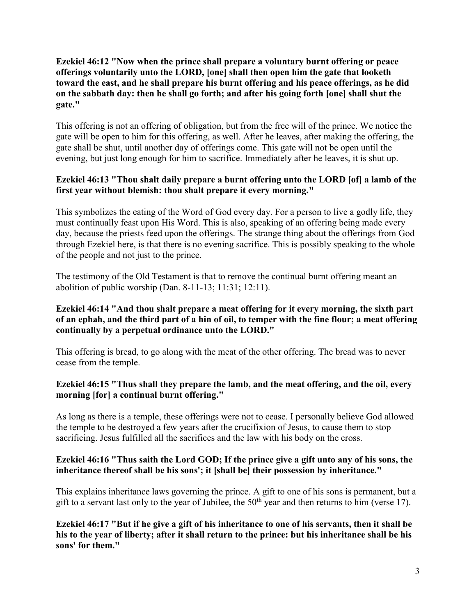#### **Ezekiel 46:12 "Now when the prince shall prepare a voluntary burnt offering or peace offerings voluntarily unto the LORD, [one] shall then open him the gate that looketh toward the east, and he shall prepare his burnt offering and his peace offerings, as he did on the sabbath day: then he shall go forth; and after his going forth [one] shall shut the gate."**

This offering is not an offering of obligation, but from the free will of the prince. We notice the gate will be open to him for this offering, as well. After he leaves, after making the offering, the gate shall be shut, until another day of offerings come. This gate will not be open until the evening, but just long enough for him to sacrifice. Immediately after he leaves, it is shut up.

## **Ezekiel 46:13 "Thou shalt daily prepare a burnt offering unto the LORD [of] a lamb of the first year without blemish: thou shalt prepare it every morning."**

This symbolizes the eating of the Word of God every day. For a person to live a godly life, they must continually feast upon His Word. This is also, speaking of an offering being made every day, because the priests feed upon the offerings. The strange thing about the offerings from God through Ezekiel here, is that there is no evening sacrifice. This is possibly speaking to the whole of the people and not just to the prince.

The testimony of the Old Testament is that to remove the continual burnt offering meant an abolition of public worship (Dan. 8-11-13; 11:31; 12:11).

### **Ezekiel 46:14 "And thou shalt prepare a meat offering for it every morning, the sixth part of an ephah, and the third part of a hin of oil, to temper with the fine flour; a meat offering continually by a perpetual ordinance unto the LORD."**

This offering is bread, to go along with the meat of the other offering. The bread was to never cease from the temple.

## **Ezekiel 46:15 "Thus shall they prepare the lamb, and the meat offering, and the oil, every morning [for] a continual burnt offering."**

As long as there is a temple, these offerings were not to cease. I personally believe God allowed the temple to be destroyed a few years after the crucifixion of Jesus, to cause them to stop sacrificing. Jesus fulfilled all the sacrifices and the law with his body on the cross.

## **Ezekiel 46:16 "Thus saith the Lord GOD; If the prince give a gift unto any of his sons, the inheritance thereof shall be his sons'; it [shall be] their possession by inheritance."**

This explains inheritance laws governing the prince. A gift to one of his sons is permanent, but a gift to a servant last only to the year of Jubilee, the  $50<sup>th</sup>$  year and then returns to him (verse 17).

**Ezekiel 46:17 "But if he give a gift of his inheritance to one of his servants, then it shall be his to the year of liberty; after it shall return to the prince: but his inheritance shall be his sons' for them."**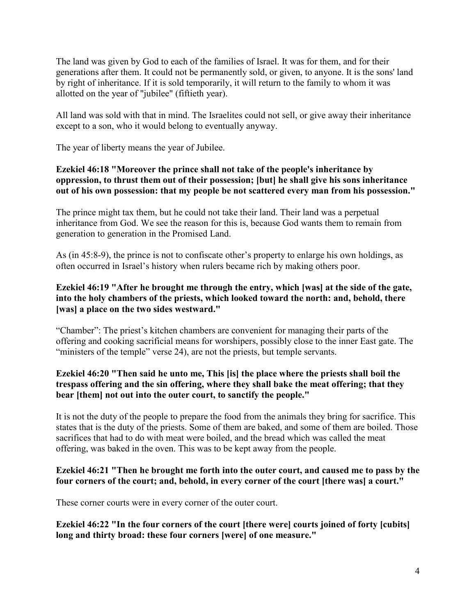The land was given by God to each of the families of Israel. It was for them, and for their generations after them. It could not be permanently sold, or given, to anyone. It is the sons' land by right of inheritance. If it is sold temporarily, it will return to the family to whom it was allotted on the year of "jubilee" (fiftieth year).

All land was sold with that in mind. The Israelites could not sell, or give away their inheritance except to a son, who it would belong to eventually anyway.

The year of liberty means the year of Jubilee.

## **Ezekiel 46:18 "Moreover the prince shall not take of the people's inheritance by oppression, to thrust them out of their possession; [but] he shall give his sons inheritance out of his own possession: that my people be not scattered every man from his possession."**

The prince might tax them, but he could not take their land. Their land was a perpetual inheritance from God. We see the reason for this is, because God wants them to remain from generation to generation in the Promised Land.

As (in 45:8-9), the prince is not to confiscate other's property to enlarge his own holdings, as often occurred in Israel's history when rulers became rich by making others poor.

## **Ezekiel 46:19 "After he brought me through the entry, which [was] at the side of the gate, into the holy chambers of the priests, which looked toward the north: and, behold, there [was] a place on the two sides westward."**

"Chamber": The priest's kitchen chambers are convenient for managing their parts of the offering and cooking sacrificial means for worshipers, possibly close to the inner East gate. The "ministers of the temple" verse 24), are not the priests, but temple servants.

## **Ezekiel 46:20 "Then said he unto me, This [is] the place where the priests shall boil the trespass offering and the sin offering, where they shall bake the meat offering; that they bear [them] not out into the outer court, to sanctify the people."**

It is not the duty of the people to prepare the food from the animals they bring for sacrifice. This states that is the duty of the priests. Some of them are baked, and some of them are boiled. Those sacrifices that had to do with meat were boiled, and the bread which was called the meat offering, was baked in the oven. This was to be kept away from the people.

## **Ezekiel 46:21 "Then he brought me forth into the outer court, and caused me to pass by the four corners of the court; and, behold, in every corner of the court [there was] a court."**

These corner courts were in every corner of the outer court.

**Ezekiel 46:22 "In the four corners of the court [there were] courts joined of forty [cubits] long and thirty broad: these four corners [were] of one measure."**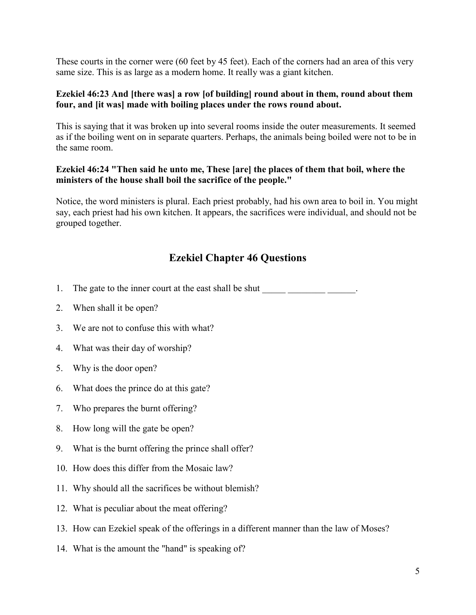These courts in the corner were (60 feet by 45 feet). Each of the corners had an area of this very same size. This is as large as a modern home. It really was a giant kitchen.

#### **Ezekiel 46:23 And [there was] a row [of building] round about in them, round about them four, and [it was] made with boiling places under the rows round about.**

This is saying that it was broken up into several rooms inside the outer measurements. It seemed as if the boiling went on in separate quarters. Perhaps, the animals being boiled were not to be in the same room.

#### **Ezekiel 46:24 "Then said he unto me, These [are] the places of them that boil, where the ministers of the house shall boil the sacrifice of the people."**

Notice, the word ministers is plural. Each priest probably, had his own area to boil in. You might say, each priest had his own kitchen. It appears, the sacrifices were individual, and should not be grouped together.

# **Ezekiel Chapter 46 Questions**

1. The gate to the inner court at the east shall be shut  $\Box$ 

- 2. When shall it be open?
- 3. We are not to confuse this with what?
- 4. What was their day of worship?
- 5. Why is the door open?
- 6. What does the prince do at this gate?
- 7. Who prepares the burnt offering?
- 8. How long will the gate be open?
- 9. What is the burnt offering the prince shall offer?
- 10. How does this differ from the Mosaic law?
- 11. Why should all the sacrifices be without blemish?
- 12. What is peculiar about the meat offering?
- 13. How can Ezekiel speak of the offerings in a different manner than the law of Moses?
- 14. What is the amount the "hand" is speaking of?